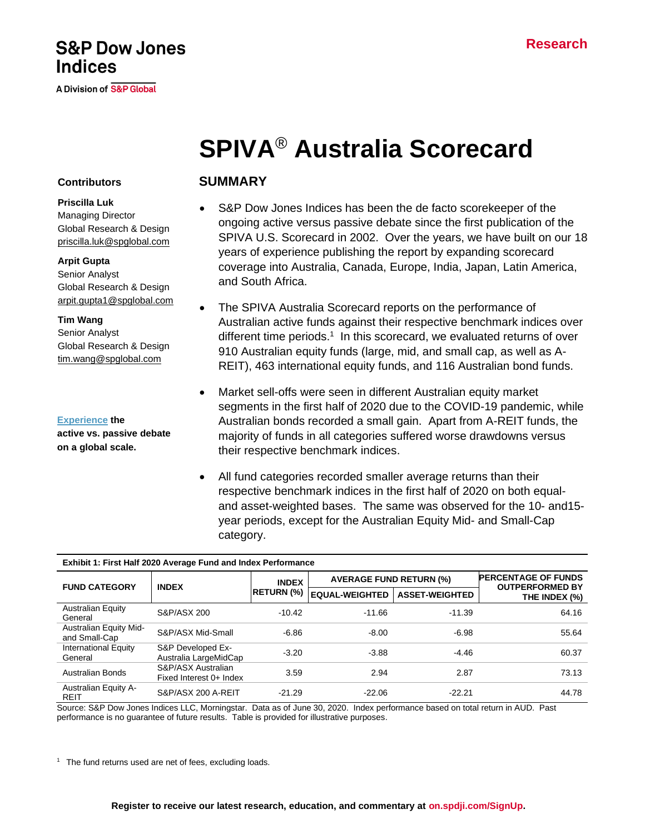# **S&P Dow Jones Indices**

A Division of S&P Global

# **SPIVA**® **Australia Scorecard**

#### **Contributors**

**Priscilla Luk** Managing Director Global Research & Design [priscilla.luk@spglobal.com](mailto:priscilla.luk@spglobal.com)

#### **Arpit Gupta**

Senior Analyst Global Research & Design [arpit.gupta1@spglobal.com](mailto:arpit.gupta1@spglobal.com)

#### **Tim Wang**

Senior Analyst Global Research & Design [tim.wang@spglobal.com](mailto:tim.wang@spglobal.com)

**[Experience](https://www.spglobal.com/spdji/en/research-insights/spiva/) the active vs. passive debate on a global scale.**

## **SUMMARY**

- S&P Dow Jones Indices has been the de facto scorekeeper of the ongoing active versus passive debate since the first publication of the SPIVA U.S. Scorecard in 2002. Over the years, we have built on our 18 years of experience publishing the report by expanding scorecard coverage into Australia, Canada, Europe, India, Japan, Latin America, and South Africa.
- The SPIVA Australia Scorecard reports on the performance of Australian active funds against their respective benchmark indices over different time periods. $1$  In this scorecard, we evaluated returns of over 910 Australian equity funds (large, mid, and small cap, as well as A-REIT), 463 international equity funds, and 116 Australian bond funds.
- Market sell-offs were seen in different Australian equity market segments in the first half of 2020 due to the COVID-19 pandemic, while Australian bonds recorded a small gain. Apart from A-REIT funds, the majority of funds in all categories suffered worse drawdowns versus their respective benchmark indices.
- All fund categories recorded smaller average returns than their respective benchmark indices in the first half of 2020 on both equaland asset-weighted bases. The same was observed for the 10- and15 year periods, except for the Australian Equity Mid- and Small-Cap category.

| <b>EXNIBILE: FILST HAIL 2020 AVERGGE FUILD AND INDEX PETION INCO</b> |                                               |                   |                                |                                                      |               |  |
|----------------------------------------------------------------------|-----------------------------------------------|-------------------|--------------------------------|------------------------------------------------------|---------------|--|
| <b>FUND CATEGORY</b>                                                 | <b>INDEX</b>                                  | <b>INDEX</b>      | <b>AVERAGE FUND RETURN (%)</b> | <b>PERCENTAGE OF FUNDS</b><br><b>OUTPERFORMED BY</b> |               |  |
|                                                                      |                                               | <b>RETURN (%)</b> | <b>EQUAL-WEIGHTED</b>          | <b>ASSET-WEIGHTED</b>                                | THE INDEX (%) |  |
| <b>Australian Equity</b><br>General                                  | S&P/ASX 200                                   | $-10.42$          | $-11.66$                       | $-11.39$                                             | 64.16         |  |
| <b>Australian Equity Mid-</b><br>and Small-Cap                       | S&P/ASX Mid-Small                             | $-6.86$           | $-8.00$                        | $-6.98$                                              | 55.64         |  |
| <b>International Equity</b><br>General                               | S&P Developed Ex-<br>Australia LargeMidCap    | $-3.20$           | $-3.88$                        | $-4.46$                                              | 60.37         |  |
| Australian Bonds                                                     | S&P/ASX Australian<br>Fixed Interest 0+ Index | 3.59              | 2.94                           | 2.87                                                 | 73.13         |  |
| Australian Equity A-<br><b>REIT</b>                                  | S&P/ASX 200 A-REIT                            | $-21.29$          | $-22.06$                       | $-22.21$                                             | 44.78         |  |

#### **Exhibit 1: First Half 2020 Average Fund and Index Performance**

Source: S&P Dow Jones Indices LLC, Morningstar. Data as of June 30, 2020. Index performance based on total return in AUD. Past performance is no guarantee of future results. Table is provided for illustrative purposes.

<sup>1</sup> The fund returns used are net of fees, excluding loads.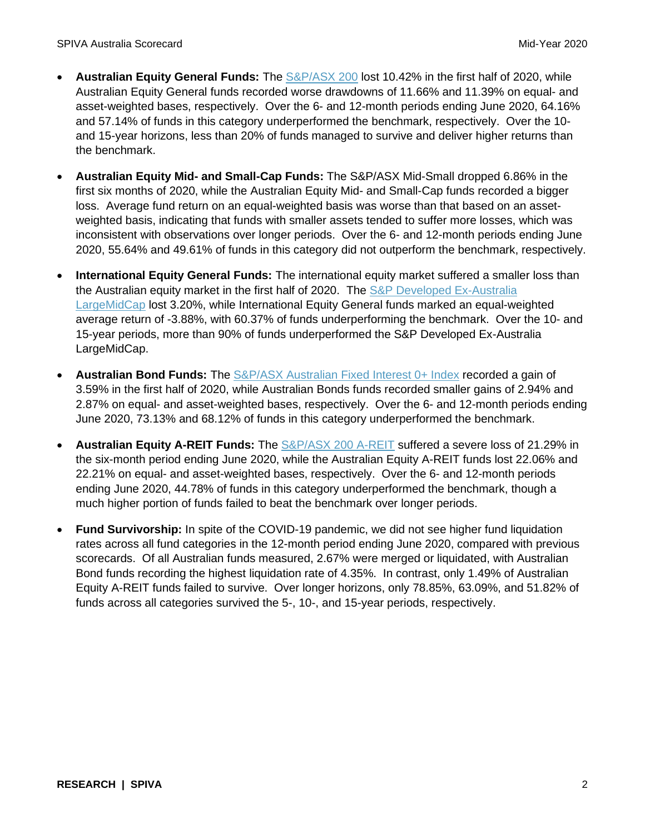- **Australian Equity General Funds:** The [S&P/ASX 200](https://www.spglobal.com/spdji/en/indices/equity/sp-asx-200/) lost 10.42% in the first half of 2020, while Australian Equity General funds recorded worse drawdowns of 11.66% and 11.39% on equal- and asset-weighted bases, respectively. Over the 6- and 12-month periods ending June 2020, 64.16% and 57.14% of funds in this category underperformed the benchmark, respectively. Over the 10 and 15-year horizons, less than 20% of funds managed to survive and deliver higher returns than the benchmark.
- **Australian Equity Mid- and Small-Cap Funds:** The S&P/ASX Mid-Small dropped 6.86% in the first six months of 2020, while the Australian Equity Mid- and Small-Cap funds recorded a bigger loss. Average fund return on an equal-weighted basis was worse than that based on an assetweighted basis, indicating that funds with smaller assets tended to suffer more losses, which was inconsistent with observations over longer periods. Over the 6- and 12-month periods ending June 2020, 55.64% and 49.61% of funds in this category did not outperform the benchmark, respectively.
- **International Equity General Funds:** The international equity market suffered a smaller loss than the Australian equity market in the first half of 2020. The S&P Developed Ex-Australia [LargeMidCap](https://www.spglobal.com/spdji/en/indices/equity/sp-developed-ex-australia-largemidcap/) lost 3.20%, while International Equity General funds marked an equal-weighted average return of -3.88%, with 60.37% of funds underperforming the benchmark. Over the 10- and 15-year periods, more than 90% of funds underperformed the S&P Developed Ex-Australia LargeMidCap.
- **Australian Bond Funds:** The [S&P/ASX Australian Fixed Interest 0+ Index](https://www.spglobal.com/spdji/en/indices/fixed-income/sp-asx-australian-fixed-interest-0-index/) recorded a gain of 3.59% in the first half of 2020, while Australian Bonds funds recorded smaller gains of 2.94% and 2.87% on equal- and asset-weighted bases, respectively. Over the 6- and 12-month periods ending June 2020, 73.13% and 68.12% of funds in this category underperformed the benchmark.
- **Australian Equity A-REIT Funds:** The [S&P/ASX 200 A-REIT](https://www.spglobal.com/spdji/en/indices/equity/sp-asx-200-a-reit/?utm_source=pdf_spiva) suffered a severe loss of 21.29% in the six-month period ending June 2020, while the Australian Equity A-REIT funds lost 22.06% and 22.21% on equal- and asset-weighted bases, respectively. Over the 6- and 12-month periods ending June 2020, 44.78% of funds in this category underperformed the benchmark, though a much higher portion of funds failed to beat the benchmark over longer periods.
- **Fund Survivorship:** In spite of the COVID-19 pandemic, we did not see higher fund liquidation rates across all fund categories in the 12-month period ending June 2020, compared with previous scorecards. Of all Australian funds measured, 2.67% were merged or liquidated, with Australian Bond funds recording the highest liquidation rate of 4.35%. In contrast, only 1.49% of Australian Equity A-REIT funds failed to survive. Over longer horizons, only 78.85%, 63.09%, and 51.82% of funds across all categories survived the 5-, 10-, and 15-year periods, respectively.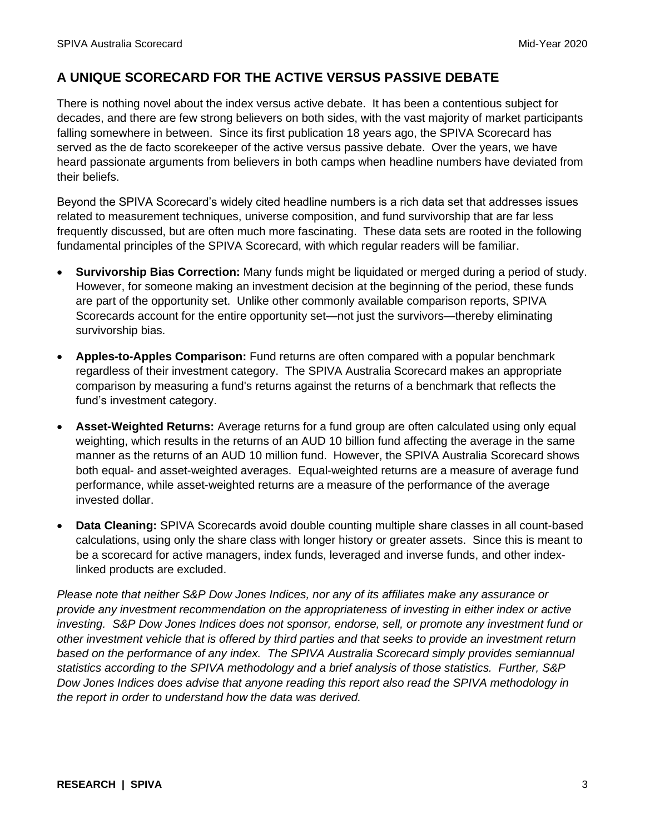## **A UNIQUE SCORECARD FOR THE ACTIVE VERSUS PASSIVE DEBATE**

There is nothing novel about the index versus active debate. It has been a contentious subject for decades, and there are few strong believers on both sides, with the vast majority of market participants falling somewhere in between. Since its first publication 18 years ago, the SPIVA Scorecard has served as the de facto scorekeeper of the active versus passive debate. Over the years, we have heard passionate arguments from believers in both camps when headline numbers have deviated from their beliefs.

Beyond the SPIVA Scorecard's widely cited headline numbers is a rich data set that addresses issues related to measurement techniques, universe composition, and fund survivorship that are far less frequently discussed, but are often much more fascinating. These data sets are rooted in the following fundamental principles of the SPIVA Scorecard, with which regular readers will be familiar.

- **Survivorship Bias Correction:** Many funds might be liquidated or merged during a period of study. However, for someone making an investment decision at the beginning of the period, these funds are part of the opportunity set. Unlike other commonly available comparison reports, SPIVA Scorecards account for the entire opportunity set—not just the survivors—thereby eliminating survivorship bias.
- **Apples-to-Apples Comparison:** Fund returns are often compared with a popular benchmark regardless of their investment category. The SPIVA Australia Scorecard makes an appropriate comparison by measuring a fund's returns against the returns of a benchmark that reflects the fund's investment category.
- **Asset-Weighted Returns:** Average returns for a fund group are often calculated using only equal weighting, which results in the returns of an AUD 10 billion fund affecting the average in the same manner as the returns of an AUD 10 million fund. However, the SPIVA Australia Scorecard shows both equal- and asset-weighted averages. Equal-weighted returns are a measure of average fund performance, while asset-weighted returns are a measure of the performance of the average invested dollar.
- **Data Cleaning:** SPIVA Scorecards avoid double counting multiple share classes in all count-based calculations, using only the share class with longer history or greater assets. Since this is meant to be a scorecard for active managers, index funds, leveraged and inverse funds, and other indexlinked products are excluded.

*Please note that neither S&P Dow Jones Indices, nor any of its affiliates make any assurance or provide any investment recommendation on the appropriateness of investing in either index or active investing. S&P Dow Jones Indices does not sponsor, endorse, sell, or promote any investment fund or other investment vehicle that is offered by third parties and that seeks to provide an investment return*  based on the performance of any index. The SPIVA Australia Scorecard simply provides semiannual *statistics according to the SPIVA methodology and a brief analysis of those statistics. Further, S&P Dow Jones Indices does advise that anyone reading this report also read the SPIVA methodology in the report in order to understand how the data was derived.*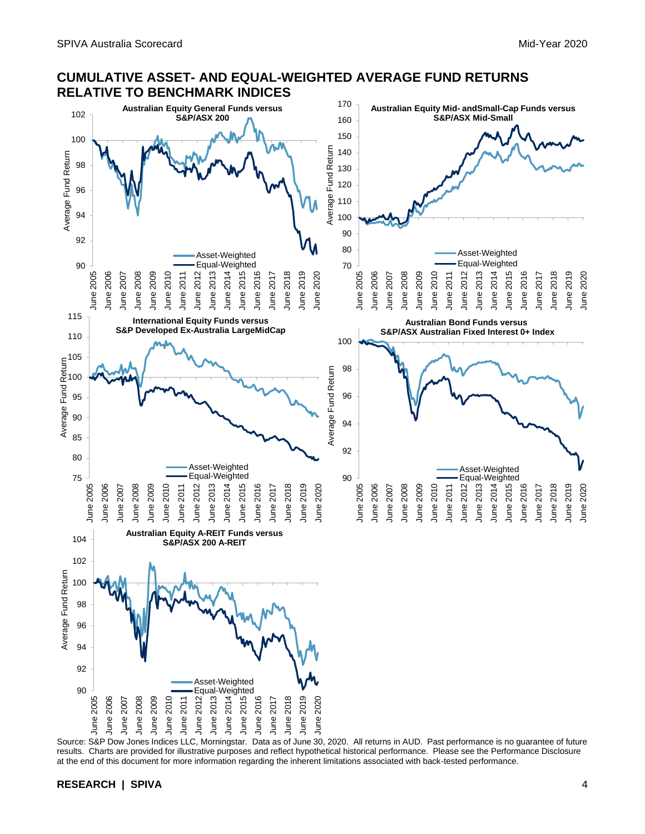

**CUMULATIVE ASSET- AND EQUAL-WEIGHTED AVERAGE FUND RETURNS RELATIVE TO BENCHMARK INDICES**

Source: S&P Dow Jones Indices LLC, Morningstar. Data as of June 30, 2020. All returns in AUD. Past performance is no guarantee of future results. Charts are provided for illustrative purposes and reflect hypothetical historical performance. Please see the Performance Disclosure at the end of this document for more information regarding the inherent limitations associated with back-tested performance.

#### **RESEARCH | SPIVA** 4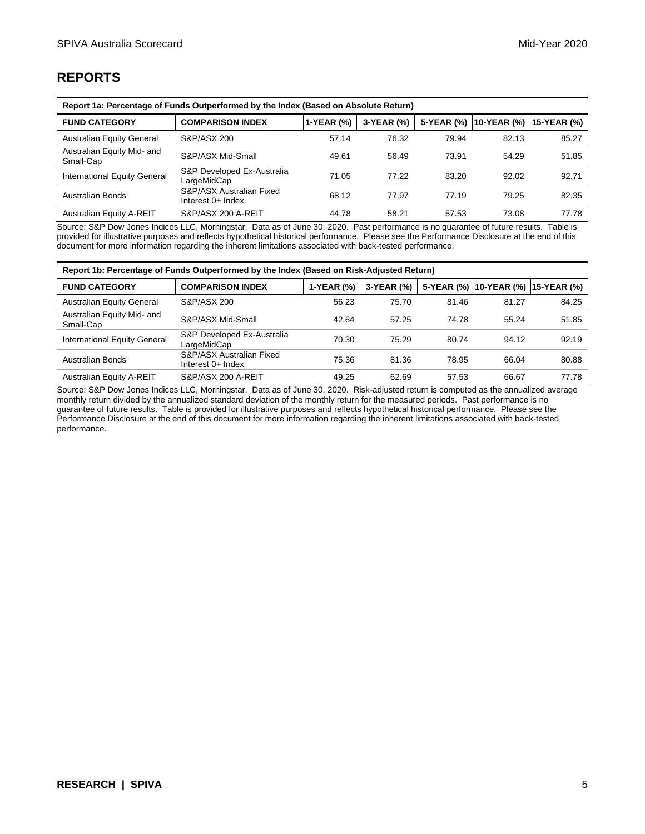## **REPORTS**

#### **Report 1a: Percentage of Funds Outperformed by the Index (Based on Absolute Return) FUND CATEGORY COMPARISON INDEX 1-YEAR (%) 3-YEAR (%) 5-YEAR (%) 10-YEAR (%) 15-YEAR (%)** Australian Equity General S&P/ASX 200 57.14 76.32 79.94 82.13 85.27 Australian Equity Mid- and Australian Equity Mid-Andr S&P/ASX Mid-Small 49.61 56.49 73.91 54.29 51.85<br>Small-Cap International Equity General S&P Developed Ex-Australia<br>
LargeMidCap الات المار بين 271.05 71.05 77.22 83.20 92.02 92.71<br>LargeMidCap Australian Bonds S&P/ASX Australian Fixed Interest 0+ Index 68.12 77.97 77.19 79.25 82.35 Australian Equity A-REIT S&P/ASX 200 A-REIT 44.78 58.21 57.53 73.08 77.78

Source: S&P Dow Jones Indices LLC, Morningstar. Data as of June 30, 2020. Past performance is no guarantee of future results. Table is provided for illustrative purposes and reflects hypothetical historical performance. Please see the Performance Disclosure at the end of this document for more information regarding the inherent limitations associated with back-tested performance.

#### **Report 1b: Percentage of Funds Outperformed by the Index (Based on Risk-Adjusted Return)**

| <b>FUND CATEGORY</b>                    | <b>COMPARISON INDEX</b>                         | 1-YEAR (%) | 3-YEAR (%) |       | 5-YEAR (%)   10-YEAR (%)   15-YEAR (%) |       |
|-----------------------------------------|-------------------------------------------------|------------|------------|-------|----------------------------------------|-------|
| <b>Australian Equity General</b>        | S&P/ASX 200                                     | 56.23      | 75.70      | 81.46 | 81.27                                  | 84.25 |
| Australian Equity Mid- and<br>Small-Cap | S&P/ASX Mid-Small                               | 42.64      | 57.25      | 74.78 | 55.24                                  | 51.85 |
| <b>International Equity General</b>     | S&P Developed Ex-Australia<br>LargeMidCap       | 70.30      | 75.29      | 80.74 | 94.12                                  | 92.19 |
| Australian Bonds                        | S&P/ASX Australian Fixed<br>Interest $0+$ Index | 75.36      | 81.36      | 78.95 | 66.04                                  | 80.88 |
| <b>Australian Equity A-REIT</b>         | S&P/ASX 200 A-REIT                              | 49.25      | 62.69      | 57.53 | 66.67                                  | 77.78 |

Source: S&P Dow Jones Indices LLC, Morningstar. Data as of June 30, 2020. Risk-adjusted return is computed as the annualized average monthly return divided by the annualized standard deviation of the monthly return for the measured periods. Past performance is no guarantee of future results. Table is provided for illustrative purposes and reflects hypothetical historical performance. Please see the Performance Disclosure at the end of this document for more information regarding the inherent limitations associated with back-tested performance.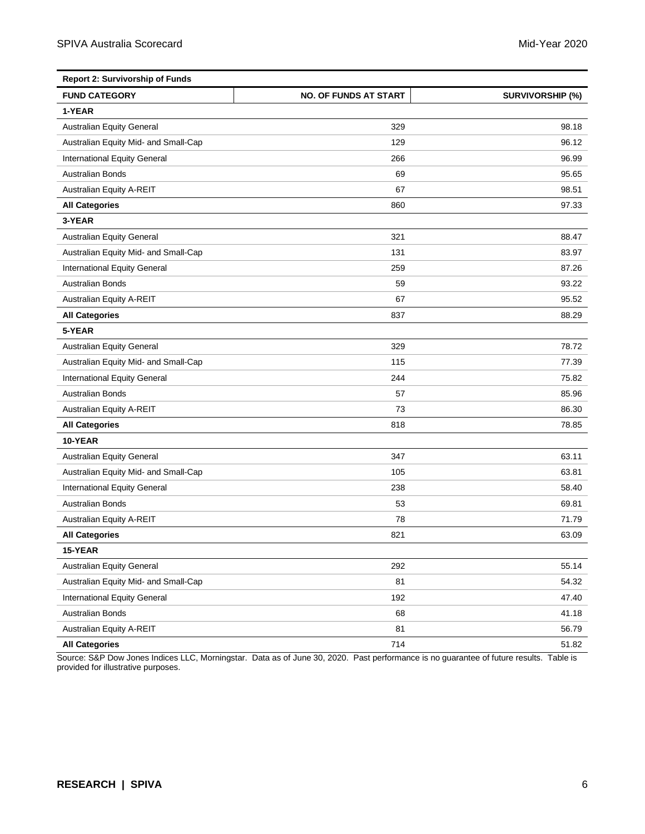| <b>Report 2: Survivorship of Funds</b> |                              |                         |
|----------------------------------------|------------------------------|-------------------------|
| <b>FUND CATEGORY</b>                   | <b>NO. OF FUNDS AT START</b> | <b>SURVIVORSHIP (%)</b> |
| 1-YEAR                                 |                              |                         |
| Australian Equity General              | 329                          | 98.18                   |
| Australian Equity Mid- and Small-Cap   | 129                          | 96.12                   |
| International Equity General           | 266                          | 96.99                   |
| <b>Australian Bonds</b>                | 69                           | 95.65                   |
| Australian Equity A-REIT               | 67                           | 98.51                   |
| <b>All Categories</b>                  | 860                          | 97.33                   |
| 3-YEAR                                 |                              |                         |
| Australian Equity General              | 321                          | 88.47                   |
| Australian Equity Mid- and Small-Cap   | 131                          | 83.97                   |
| International Equity General           | 259                          | 87.26                   |
| <b>Australian Bonds</b>                | 59                           | 93.22                   |
| Australian Equity A-REIT               | 67                           | 95.52                   |
| <b>All Categories</b>                  | 837                          | 88.29                   |
| 5-YEAR                                 |                              |                         |
| <b>Australian Equity General</b>       | 329                          | 78.72                   |
| Australian Equity Mid- and Small-Cap   | 115                          | 77.39                   |
| International Equity General           | 244                          | 75.82                   |
| <b>Australian Bonds</b>                | 57                           | 85.96                   |
| Australian Equity A-REIT               | 73                           | 86.30                   |
| <b>All Categories</b>                  | 818                          | 78.85                   |
| 10-YEAR                                |                              |                         |
| Australian Equity General              | 347                          | 63.11                   |
| Australian Equity Mid- and Small-Cap   | 105                          | 63.81                   |
| International Equity General           | 238                          | 58.40                   |
| <b>Australian Bonds</b>                | 53                           | 69.81                   |
| Australian Equity A-REIT               | 78                           | 71.79                   |
| <b>All Categories</b>                  | 821                          | 63.09                   |
| 15-YEAR                                |                              |                         |
| <b>Australian Equity General</b>       | 292                          | 55.14                   |
| Australian Equity Mid- and Small-Cap   | 81                           | 54.32                   |
| International Equity General           | 192                          | 47.40                   |
| <b>Australian Bonds</b>                | 68                           | 41.18                   |
| <b>Australian Equity A-REIT</b>        | 81                           | 56.79                   |
| <b>All Categories</b>                  | 714                          | 51.82                   |

Source: S&P Dow Jones Indices LLC, Morningstar. Data as of June 30, 2020. Past performance is no guarantee of future results. Table is provided for illustrative purposes.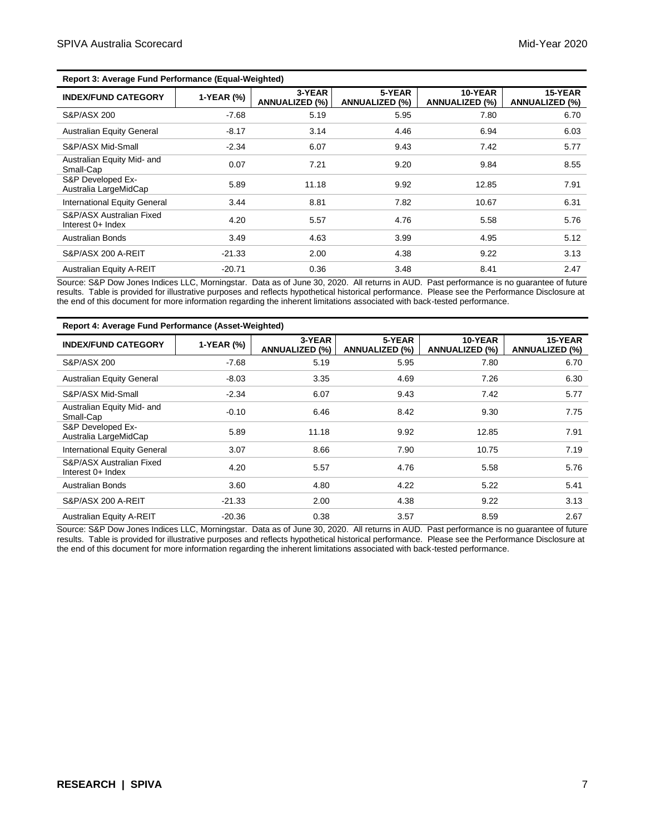| Report 3: Average Fund Performance (Equal-Weighted) |            |                                 |                                 |                                  |                                  |  |
|-----------------------------------------------------|------------|---------------------------------|---------------------------------|----------------------------------|----------------------------------|--|
| <b>INDEX/FUND CATEGORY</b>                          | 1-YEAR (%) | 3-YEAR<br><b>ANNUALIZED (%)</b> | 5-YEAR<br><b>ANNUALIZED (%)</b> | 10-YEAR<br><b>ANNUALIZED (%)</b> | 15-YEAR<br><b>ANNUALIZED (%)</b> |  |
| S&P/ASX 200                                         | $-7.68$    | 5.19                            | 5.95                            | 7.80                             | 6.70                             |  |
| <b>Australian Equity General</b>                    | $-8.17$    | 3.14                            | 4.46                            | 6.94                             | 6.03                             |  |
| S&P/ASX Mid-Small                                   | $-2.34$    | 6.07                            | 9.43                            | 7.42                             | 5.77                             |  |
| Australian Equity Mid- and<br>Small-Cap             | 0.07       | 7.21                            | 9.20                            | 9.84                             | 8.55                             |  |
| S&P Developed Ex-<br>Australia LargeMidCap          | 5.89       | 11.18                           | 9.92                            | 12.85                            | 7.91                             |  |
| International Equity General                        | 3.44       | 8.81                            | 7.82                            | 10.67                            | 6.31                             |  |
| S&P/ASX Australian Fixed<br>Interest 0+ Index       | 4.20       | 5.57                            | 4.76                            | 5.58                             | 5.76                             |  |
| Australian Bonds                                    | 3.49       | 4.63                            | 3.99                            | 4.95                             | 5.12                             |  |
| S&P/ASX 200 A-REIT                                  | $-21.33$   | 2.00                            | 4.38                            | 9.22                             | 3.13                             |  |
| <b>Australian Equity A-REIT</b>                     | $-20.71$   | 0.36                            | 3.48                            | 8.41                             | 2.47                             |  |

Source: S&P Dow Jones Indices LLC, Morningstar. Data as of June 30, 2020. All returns in AUD. Past performance is no guarantee of future results. Table is provided for illustrative purposes and reflects hypothetical historical performance. Please see the Performance Disclosure at the end of this document for more information regarding the inherent limitations associated with back-tested performance.

| Report 4: Average Fund Performance (Asset-Weighted) |            |                                 |                                 |                                  |                                  |
|-----------------------------------------------------|------------|---------------------------------|---------------------------------|----------------------------------|----------------------------------|
| <b>INDEX/FUND CATEGORY</b>                          | 1-YEAR (%) | 3-YEAR<br><b>ANNUALIZED (%)</b> | 5-YEAR<br><b>ANNUALIZED (%)</b> | 10-YEAR<br><b>ANNUALIZED (%)</b> | 15-YEAR<br><b>ANNUALIZED (%)</b> |
| S&P/ASX 200                                         | $-7.68$    | 5.19                            | 5.95                            | 7.80                             | 6.70                             |
| <b>Australian Equity General</b>                    | $-8.03$    | 3.35                            | 4.69                            | 7.26                             | 6.30                             |
| S&P/ASX Mid-Small                                   | $-2.34$    | 6.07                            | 9.43                            | 7.42                             | 5.77                             |
| Australian Equity Mid- and<br>Small-Cap             | $-0.10$    | 6.46                            | 8.42                            | 9.30                             | 7.75                             |
| S&P Developed Ex-<br>Australia LargeMidCap          | 5.89       | 11.18                           | 9.92                            | 12.85                            | 7.91                             |
| International Equity General                        | 3.07       | 8.66                            | 7.90                            | 10.75                            | 7.19                             |
| S&P/ASX Australian Fixed<br>Interest 0+ Index       | 4.20       | 5.57                            | 4.76                            | 5.58                             | 5.76                             |
| Australian Bonds                                    | 3.60       | 4.80                            | 4.22                            | 5.22                             | 5.41                             |
| S&P/ASX 200 A-REIT                                  | $-21.33$   | 2.00                            | 4.38                            | 9.22                             | 3.13                             |
| <b>Australian Equity A-REIT</b>                     | $-20.36$   | 0.38                            | 3.57                            | 8.59                             | 2.67                             |

Source: S&P Dow Jones Indices LLC, Morningstar. Data as of June 30, 2020. All returns in AUD. Past performance is no guarantee of future results. Table is provided for illustrative purposes and reflects hypothetical historical performance. Please see the Performance Disclosure at the end of this document for more information regarding the inherent limitations associated with back-tested performance.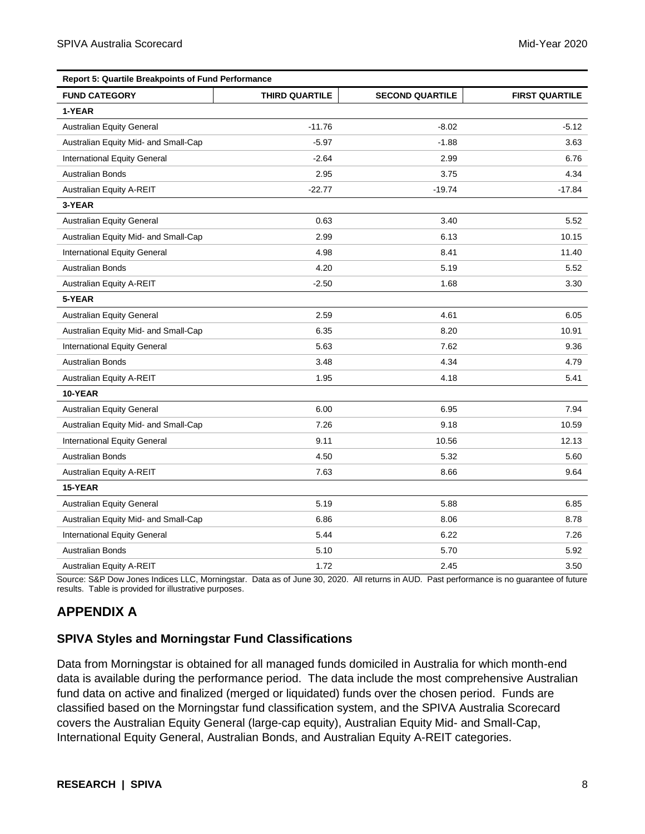| <b>Report 5: Quartile Breakpoints of Fund Performance</b> |                |                        |                       |  |  |  |
|-----------------------------------------------------------|----------------|------------------------|-----------------------|--|--|--|
| <b>FUND CATEGORY</b>                                      | THIRD QUARTILE | <b>SECOND QUARTILE</b> | <b>FIRST QUARTILE</b> |  |  |  |
| 1-YEAR                                                    |                |                        |                       |  |  |  |
| <b>Australian Equity General</b>                          | $-11.76$       | $-8.02$                | $-5.12$               |  |  |  |
| Australian Equity Mid- and Small-Cap                      | $-5.97$        | $-1.88$                | 3.63                  |  |  |  |
| International Equity General                              | $-2.64$        | 2.99                   | 6.76                  |  |  |  |
| <b>Australian Bonds</b>                                   | 2.95           | 3.75                   | 4.34                  |  |  |  |
| Australian Equity A-REIT                                  | $-22.77$       | $-19.74$               | $-17.84$              |  |  |  |
| 3-YEAR                                                    |                |                        |                       |  |  |  |
| Australian Equity General                                 | 0.63           | 3.40                   | 5.52                  |  |  |  |
| Australian Equity Mid- and Small-Cap                      | 2.99           | 6.13                   | 10.15                 |  |  |  |
| International Equity General                              | 4.98           | 8.41                   | 11.40                 |  |  |  |
| <b>Australian Bonds</b>                                   | 4.20           | 5.19                   | 5.52                  |  |  |  |
| Australian Equity A-REIT                                  | $-2.50$        | 1.68                   | 3.30                  |  |  |  |
| 5-YEAR                                                    |                |                        |                       |  |  |  |
| Australian Equity General                                 | 2.59           | 4.61                   | 6.05                  |  |  |  |
| Australian Equity Mid- and Small-Cap                      | 6.35           | 8.20                   | 10.91                 |  |  |  |
| International Equity General                              | 5.63           | 7.62                   | 9.36                  |  |  |  |
| <b>Australian Bonds</b>                                   | 3.48           | 4.34                   | 4.79                  |  |  |  |
| Australian Equity A-REIT                                  | 1.95           | 4.18                   | 5.41                  |  |  |  |
| 10-YEAR                                                   |                |                        |                       |  |  |  |
| <b>Australian Equity General</b>                          | 6.00           | 6.95                   | 7.94                  |  |  |  |
| Australian Equity Mid- and Small-Cap                      | 7.26           | 9.18                   | 10.59                 |  |  |  |
| International Equity General                              | 9.11           | 10.56                  | 12.13                 |  |  |  |
| <b>Australian Bonds</b>                                   | 4.50           | 5.32                   | 5.60                  |  |  |  |
| Australian Equity A-REIT                                  | 7.63           | 8.66                   | 9.64                  |  |  |  |
| 15-YEAR                                                   |                |                        |                       |  |  |  |
| Australian Equity General                                 | 5.19           | 5.88                   | 6.85                  |  |  |  |
| Australian Equity Mid- and Small-Cap                      | 6.86           | 8.06                   | 8.78                  |  |  |  |
| International Equity General                              | 5.44           | 6.22                   | 7.26                  |  |  |  |
| <b>Australian Bonds</b>                                   | 5.10           | 5.70                   | 5.92                  |  |  |  |
| Australian Equity A-REIT                                  | 1.72           | 2.45                   | 3.50                  |  |  |  |

Source: S&P Dow Jones Indices LLC, Morningstar. Data as of June 30, 2020. All returns in AUD. Past performance is no guarantee of future results. Table is provided for illustrative purposes.

# **APPENDIX A**

## **SPIVA Styles and Morningstar Fund Classifications**

Data from Morningstar is obtained for all managed funds domiciled in Australia for which month-end data is available during the performance period. The data include the most comprehensive Australian fund data on active and finalized (merged or liquidated) funds over the chosen period. Funds are classified based on the Morningstar fund classification system, and the SPIVA Australia Scorecard covers the Australian Equity General (large-cap equity), Australian Equity Mid- and Small-Cap, International Equity General, Australian Bonds, and Australian Equity A-REIT categories.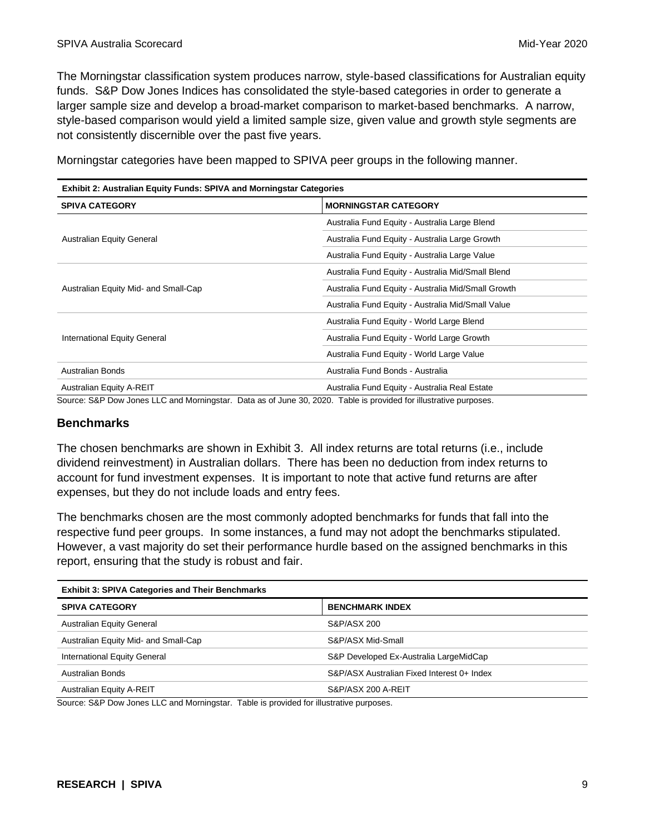The Morningstar classification system produces narrow, style-based classifications for Australian equity funds. S&P Dow Jones Indices has consolidated the style-based categories in order to generate a larger sample size and develop a broad-market comparison to market-based benchmarks. A narrow, style-based comparison would yield a limited sample size, given value and growth style segments are not consistently discernible over the past five years.

**Exhibit 2: Australian Equity Funds: SPIVA and Morningstar Categories SPIVA CATEGORY MORNINGSTAR CATEGORY** Australian Equity General Australia Fund Equity - Australia Large Blend Australia Fund Equity - Australia Large Growth Australia Fund Equity - Australia Large Value Australian Equity Mid- and Small-Cap Australia Fund Equity - Australia Mid/Small Blend Australia Fund Equity - Australia Mid/Small Growth Australia Fund Equity - Australia Mid/Small Value International Equity General Australia Fund Equity - World Large Blend Australia Fund Equity - World Large Growth Australia Fund Equity - World Large Value Australian Bonds<br>
Australian Bonds **Australia Fund Bonds** - Australia Fund Bonds - Australia Australian Equity A-REIT **Australia Fund Equity - Australia Real Estate** Australia Real Estate

Morningstar categories have been mapped to SPIVA peer groups in the following manner.

Source: S&P Dow Jones LLC and Morningstar. Data as of June 30, 2020. Table is provided for illustrative purposes.

#### **Benchmarks**

The chosen benchmarks are shown in Exhibit 3. All index returns are total returns (i.e., include dividend reinvestment) in Australian dollars. There has been no deduction from index returns to account for fund investment expenses. It is important to note that active fund returns are after expenses, but they do not include loads and entry fees.

The benchmarks chosen are the most commonly adopted benchmarks for funds that fall into the respective fund peer groups. In some instances, a fund may not adopt the benchmarks stipulated. However, a vast majority do set their performance hurdle based on the assigned benchmarks in this report, ensuring that the study is robust and fair.

| <b>Exhibit 3: SPIVA Categories and Their Benchmarks</b> |                                            |  |  |  |
|---------------------------------------------------------|--------------------------------------------|--|--|--|
| <b>SPIVA CATEGORY</b>                                   | <b>BENCHMARK INDEX</b>                     |  |  |  |
| <b>Australian Equity General</b>                        | S&P/ASX 200                                |  |  |  |
| Australian Equity Mid- and Small-Cap                    | S&P/ASX Mid-Small                          |  |  |  |
| International Equity General                            | S&P Developed Ex-Australia LargeMidCap     |  |  |  |
| Australian Bonds                                        | S&P/ASX Australian Fixed Interest 0+ Index |  |  |  |
| <b>Australian Equity A-REIT</b>                         | S&P/ASX 200 A-REIT                         |  |  |  |

Source: S&P Dow Jones LLC and Morningstar. Table is provided for illustrative purposes.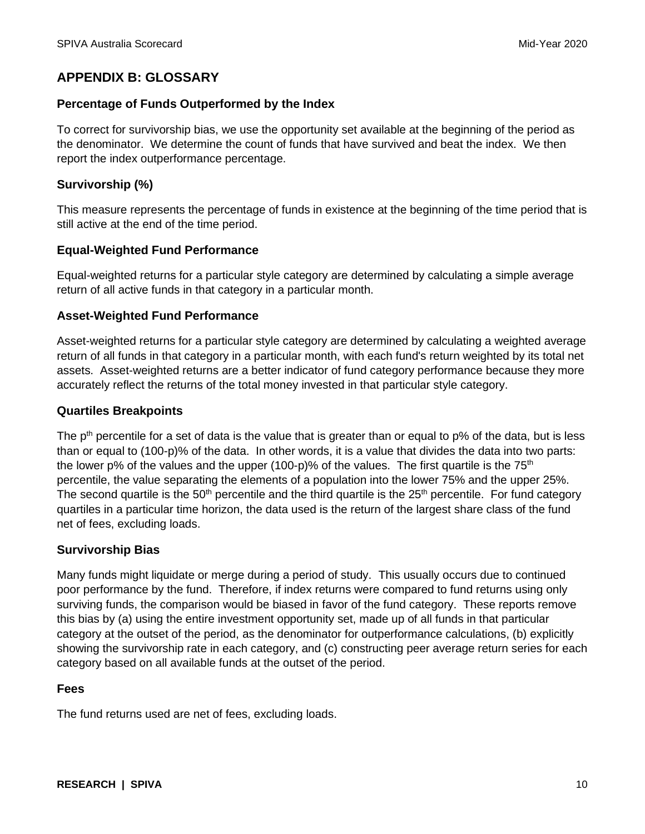# **APPENDIX B: GLOSSARY**

## **Percentage of Funds Outperformed by the Index**

To correct for survivorship bias, we use the opportunity set available at the beginning of the period as the denominator. We determine the count of funds that have survived and beat the index. We then report the index outperformance percentage.

## **Survivorship (%)**

This measure represents the percentage of funds in existence at the beginning of the time period that is still active at the end of the time period.

### **Equal-Weighted Fund Performance**

Equal-weighted returns for a particular style category are determined by calculating a simple average return of all active funds in that category in a particular month.

### **Asset-Weighted Fund Performance**

Asset-weighted returns for a particular style category are determined by calculating a weighted average return of all funds in that category in a particular month, with each fund's return weighted by its total net assets. Asset-weighted returns are a better indicator of fund category performance because they more accurately reflect the returns of the total money invested in that particular style category.

#### **Quartiles Breakpoints**

The p<sup>th</sup> percentile for a set of data is the value that is greater than or equal to p% of the data, but is less than or equal to (100-p)% of the data. In other words, it is a value that divides the data into two parts: the lower p% of the values and the upper (100-p)% of the values. The first quartile is the  $75<sup>th</sup>$ percentile, the value separating the elements of a population into the lower 75% and the upper 25%. The second quartile is the  $50<sup>th</sup>$  percentile and the third quartile is the  $25<sup>th</sup>$  percentile. For fund category quartiles in a particular time horizon, the data used is the return of the largest share class of the fund net of fees, excluding loads.

#### **Survivorship Bias**

Many funds might liquidate or merge during a period of study. This usually occurs due to continued poor performance by the fund. Therefore, if index returns were compared to fund returns using only surviving funds, the comparison would be biased in favor of the fund category. These reports remove this bias by (a) using the entire investment opportunity set, made up of all funds in that particular category at the outset of the period, as the denominator for outperformance calculations, (b) explicitly showing the survivorship rate in each category, and (c) constructing peer average return series for each category based on all available funds at the outset of the period.

#### **Fees**

The fund returns used are net of fees, excluding loads.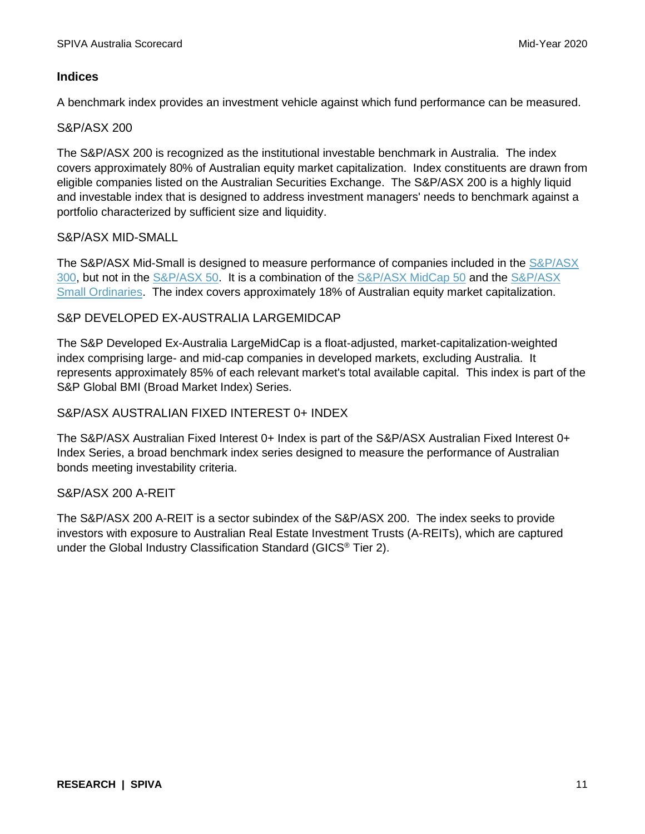## **Indices**

A benchmark index provides an investment vehicle against which fund performance can be measured.

### S&P/ASX 200

The S&P/ASX 200 is recognized as the institutional investable benchmark in Australia. The index covers approximately 80% of Australian equity market capitalization. Index constituents are drawn from eligible companies listed on the Australian Securities Exchange. The S&P/ASX 200 is a highly liquid and investable index that is designed to address investment managers' needs to benchmark against a portfolio characterized by sufficient size and liquidity.

## S&P/ASX MID-SMALL

The S&P/ASX Mid-Small is designed to measure performance of companies included in the [S&P/ASX](https://www.spglobal.com/spdji/en/indices/equity/sp-asx-300/)  [300,](https://www.spglobal.com/spdji/en/indices/equity/sp-asx-300/) but not in the **S&P/ASX 50.** It is a combination of the **S&P/ASX** MidCap 50 and the S&P/ASX [Small Ordinaries.](https://www.spglobal.com/spdji/en/indices/equity/sp-asx-small-ordinaries/) The index covers approximately 18% of Australian equity market capitalization.

### S&P DEVELOPED EX-AUSTRALIA LARGEMIDCAP

The S&P Developed Ex-Australia LargeMidCap is a float-adjusted, market-capitalization-weighted index comprising large- and mid-cap companies in developed markets, excluding Australia. It represents approximately 85% of each relevant market's total available capital. This index is part of the S&P Global BMI (Broad Market Index) Series.

### S&P/ASX AUSTRALIAN FIXED INTEREST 0+ INDEX

The S&P/ASX Australian Fixed Interest 0+ Index is part of the S&P/ASX Australian Fixed Interest 0+ Index Series, a broad benchmark index series designed to measure the performance of Australian bonds meeting investability criteria.

#### S&P/ASX 200 A-REIT

The S&P/ASX 200 A-REIT is a sector subindex of the S&P/ASX 200. The index seeks to provide investors with exposure to Australian Real Estate Investment Trusts (A-REITs), which are captured under the Global Industry Classification Standard (GICS® Tier 2).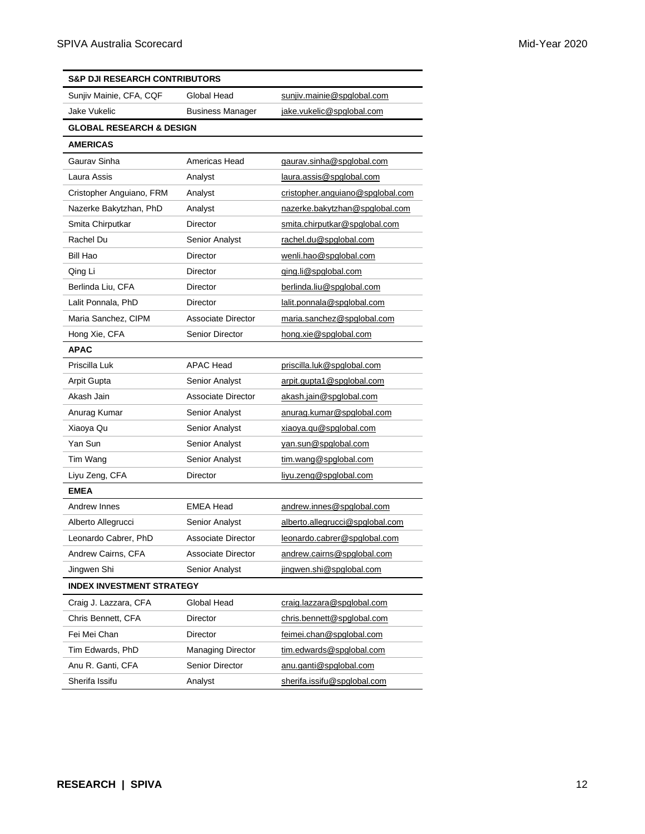| <b>S&amp;P DJI RESEARCH CONTRIBUTORS</b> |                         |                                  |  |  |  |
|------------------------------------------|-------------------------|----------------------------------|--|--|--|
| Sunjiv Mainie, CFA, CQF                  | Global Head             | sunjiv.mainie@spglobal.com       |  |  |  |
| Jake Vukelic                             | <b>Business Manager</b> | jake.vukelic@spglobal.com        |  |  |  |
| <b>GLOBAL RESEARCH &amp; DESIGN</b>      |                         |                                  |  |  |  |
| <b>AMERICAS</b>                          |                         |                                  |  |  |  |
| Gaurav Sinha                             | Americas Head           | gaurav.sinha@spglobal.com        |  |  |  |
| Laura Assis                              | Analyst                 | laura.assis@spglobal.com         |  |  |  |
| Cristopher Anguiano, FRM                 | Analyst                 | cristopher.anguiano@spglobal.com |  |  |  |
| Nazerke Bakytzhan, PhD                   | Analyst                 | nazerke.bakytzhan@spglobal.com   |  |  |  |
| Smita Chirputkar                         | Director                | smita.chirputkar@spglobal.com    |  |  |  |
| Rachel Du                                | Senior Analyst          | rachel.du@spglobal.com           |  |  |  |
| Bill Hao                                 | Director                | wenli.hao@spglobal.com           |  |  |  |
| Qing Li                                  | Director                | ging.li@spglobal.com             |  |  |  |
| Berlinda Liu, CFA                        | Director                | berlinda.liu@spglobal.com        |  |  |  |
| Lalit Ponnala, PhD                       | Director                | lalit.ponnala@spglobal.com       |  |  |  |
| Maria Sanchez, CIPM                      | Associate Director      | maria.sanchez@spglobal.com       |  |  |  |
| Hong Xie, CFA                            | Senior Director         | hong.xie@spglobal.com            |  |  |  |
| <b>APAC</b>                              |                         |                                  |  |  |  |
| Priscilla Luk                            | <b>APAC Head</b>        | priscilla.luk@spqlobal.com       |  |  |  |
| Arpit Gupta                              | Senior Analyst          | arpit.gupta1@spglobal.com        |  |  |  |
| Akash Jain                               | Associate Director      | akash.jain@spglobal.com          |  |  |  |
| Anurag Kumar                             | Senior Analyst          | anurag.kumar@spglobal.com        |  |  |  |
| Xiaoya Qu                                | Senior Analyst          | xiaoya.qu@spglobal.com           |  |  |  |
| Yan Sun                                  | Senior Analyst          | yan.sun@spglobal.com             |  |  |  |
| Tim Wang                                 | Senior Analyst          | tim.wang@spglobal.com            |  |  |  |
| Liyu Zeng, CFA                           | Director                | liyu.zeng@spglobal.com           |  |  |  |
| <b>EMEA</b>                              |                         |                                  |  |  |  |
| Andrew Innes                             | EMEA Head               | andrew.innes@spglobal.com        |  |  |  |
| Alberto Allegrucci                       | Senior Analyst          | alberto.allegrucci@spglobal.com  |  |  |  |
| Leonardo Cabrer, PhD                     | Associate Director      | leonardo.cabrer@spqlobal.com     |  |  |  |
| Andrew Cairns, CFA                       | Associate Director      | andrew.cairns@spglobal.com       |  |  |  |
| Jingwen Shi                              | Senior Analyst          | jingwen.shi@spglobal.com         |  |  |  |
| <b>INDEX INVESTMENT STRATEGY</b>         |                         |                                  |  |  |  |
| Craig J. Lazzara, CFA                    | Global Head             | craig.lazzara@spglobal.com       |  |  |  |
| Chris Bennett, CFA                       | Director                | chris.bennett@spglobal.com       |  |  |  |
| Fei Mei Chan                             | Director                | feimei.chan@spglobal.com         |  |  |  |
| Tim Edwards, PhD                         | Managing Director       | tim.edwards@spglobal.com         |  |  |  |
| Anu R. Ganti, CFA                        | Senior Director         | anu.ganti@spglobal.com           |  |  |  |
| Sherifa Issifu                           | Analyst                 | sherifa.issifu@spglobal.com      |  |  |  |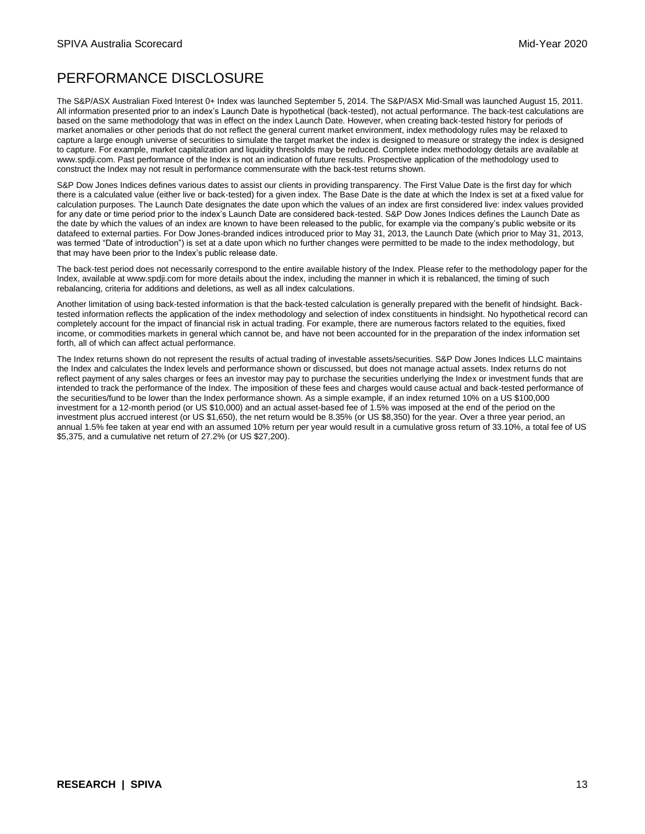# PERFORMANCE DISCLOSURE

The S&P/ASX Australian Fixed Interest 0+ Index was launched September 5, 2014. The S&P/ASX Mid-Small was launched August 15, 2011. All information presented prior to an index's Launch Date is hypothetical (back-tested), not actual performance. The back-test calculations are based on the same methodology that was in effect on the index Launch Date. However, when creating back-tested history for periods of market anomalies or other periods that do not reflect the general current market environment, index methodology rules may be relaxed to capture a large enough universe of securities to simulate the target market the index is designed to measure or strategy the index is designed to capture. For example, market capitalization and liquidity thresholds may be reduced. Complete index methodology details are available at www.spdji.com. Past performance of the Index is not an indication of future results. Prospective application of the methodology used to construct the Index may not result in performance commensurate with the back-test returns shown.

S&P Dow Jones Indices defines various dates to assist our clients in providing transparency. The First Value Date is the first day for which there is a calculated value (either live or back-tested) for a given index. The Base Date is the date at which the Index is set at a fixed value for calculation purposes. The Launch Date designates the date upon which the values of an index are first considered live: index values provided for any date or time period prior to the index's Launch Date are considered back-tested. S&P Dow Jones Indices defines the Launch Date as the date by which the values of an index are known to have been released to the public, for example via the company's public website or its datafeed to external parties. For Dow Jones-branded indices introduced prior to May 31, 2013, the Launch Date (which prior to May 31, 2013, was termed "Date of introduction") is set at a date upon which no further changes were permitted to be made to the index methodology, but that may have been prior to the Index's public release date.

The back-test period does not necessarily correspond to the entire available history of the Index. Please refer to the methodology paper for the Index, available at www.spdji.com for more details about the index, including the manner in which it is rebalanced, the timing of such rebalancing, criteria for additions and deletions, as well as all index calculations.

Another limitation of using back-tested information is that the back-tested calculation is generally prepared with the benefit of hindsight. Backtested information reflects the application of the index methodology and selection of index constituents in hindsight. No hypothetical record can completely account for the impact of financial risk in actual trading. For example, there are numerous factors related to the equities, fixed income, or commodities markets in general which cannot be, and have not been accounted for in the preparation of the index information set forth, all of which can affect actual performance.

The Index returns shown do not represent the results of actual trading of investable assets/securities. S&P Dow Jones Indices LLC maintains the Index and calculates the Index levels and performance shown or discussed, but does not manage actual assets. Index returns do not reflect payment of any sales charges or fees an investor may pay to purchase the securities underlying the Index or investment funds that are intended to track the performance of the Index. The imposition of these fees and charges would cause actual and back-tested performance of the securities/fund to be lower than the Index performance shown. As a simple example, if an index returned 10% on a US \$100,000 investment for a 12-month period (or US \$10,000) and an actual asset-based fee of 1.5% was imposed at the end of the period on the investment plus accrued interest (or US \$1,650), the net return would be 8.35% (or US \$8,350) for the year. Over a three year period, an annual 1.5% fee taken at year end with an assumed 10% return per year would result in a cumulative gross return of 33.10%, a total fee of US \$5,375, and a cumulative net return of 27.2% (or US \$27,200).